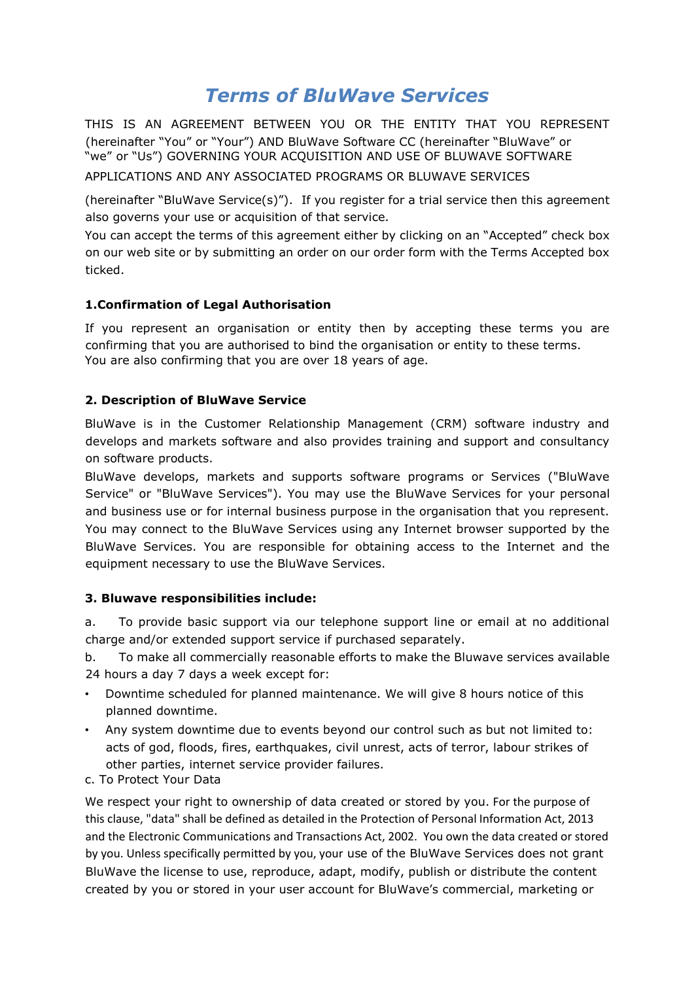# *Terms of BluWave Services*

THIS IS AN AGREEMENT BETWEEN YOU OR THE ENTITY THAT YOU REPRESENT (hereinafter "You" or "Your") AND BluWave Software CC (hereinafter "BluWave" or "we" or "Us") GOVERNING YOUR ACQUISITION AND USE OF BLUWAVE SOFTWARE

APPLICATIONS AND ANY ASSOCIATED PROGRAMS OR BLUWAVE SERVICES

(hereinafter "BluWave Service(s)"). If you register for a trial service then this agreement also governs your use or acquisition of that service.

You can accept the terms of this agreement either by clicking on an "Accepted" check box on our web site or by submitting an order on our order form with the Terms Accepted box ticked.

# **1.Confirmation of Legal Authorisation**

If you represent an organisation or entity then by accepting these terms you are confirming that you are authorised to bind the organisation or entity to these terms. You are also confirming that you are over 18 years of age.

## **2. Description of BluWave Service**

BluWave is in the Customer Relationship Management (CRM) software industry and develops and markets software and also provides training and support and consultancy on software products.

BluWave develops, markets and supports software programs or Services ("BluWave Service" or "BluWave Services"). You may use the BluWave Services for your personal and business use or for internal business purpose in the organisation that you represent. You may connect to the BluWave Services using any Internet browser supported by the BluWave Services. You are responsible for obtaining access to the Internet and the equipment necessary to use the BluWave Services.

#### **3. Bluwave responsibilities include:**

a. To provide basic support via our telephone support line or email at no additional charge and/or extended support service if purchased separately.

b. To make all commercially reasonable efforts to make the Bluwave services available 24 hours a day 7 days a week except for:

- Downtime scheduled for planned maintenance. We will give 8 hours notice of this planned downtime.
- Any system downtime due to events beyond our control such as but not limited to: acts of god, floods, fires, earthquakes, civil unrest, acts of terror, labour strikes of other parties, internet service provider failures.
- c. To Protect Your Data

We respect your right to ownership of data created or stored by you. For the purpose of this clause, "data" shall be defined as detailed in the Protection of Personal Information Act, 2013 and the Electronic Communications and Transactions Act, 2002. You own the data created or stored by you. Unless specifically permitted by you, your use of the BluWave Services does not grant BluWave the license to use, reproduce, adapt, modify, publish or distribute the content created by you or stored in your user account for BluWave's commercial, marketing or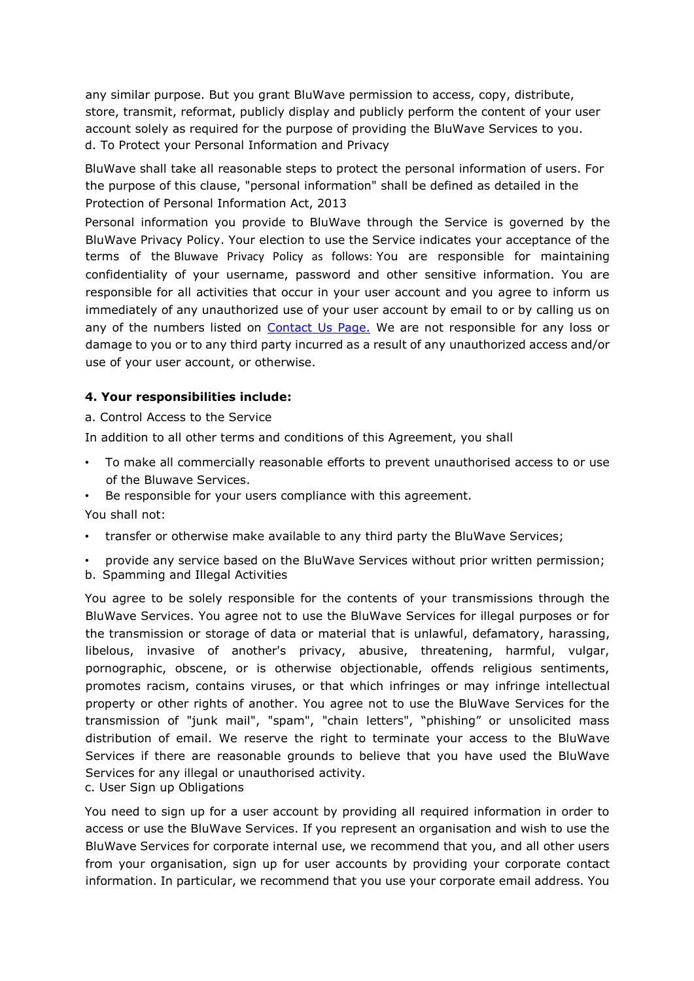any similar purpose. But you grant BluWave permission to access, copy, distribute, store, transmit, reformat, publicly display and publicly perform the content of your user account solely as required for the purpose of providing the BluWave Services to you. d. To Protect your Personal Information and Privacy

BluWave shall take all reasonable steps to protect the personal information of users. For the purpose of this clause, "personal information" shall be defined as detailed in the Protection of Personal Information Act, 2013

Personal information you provide to BluWave through the Service is governed by the BluWave Privacy Polic[y.](http://www.bluewave.co.za/privacy.html) Your election to use the Service indicates your acceptance of the terms of the Bluwave Privacy Policy as follows: You are responsible for maintaining confidentiality of your username, password and other sensitive information. You are responsible for all activities that occur in your user account and you agree to inform us immediately of any unauthorized use of your user account by email to or by calling us on any of the numbers listed on [Contact Us Page.](https://www.bluwave.co.za/contact-us) We are not responsible for any loss or damage to you or to any third party incurred as a result of any unauthorized access and/or use of your user account, or otherwise.

#### **4. Your responsibilities include:**

a. Control Access to the Service

In addition to all other terms and conditions of this Agreement, you shall

- To make all commercially reasonable efforts to prevent unauthorised access to or use of the Bluwave Services.
- Be responsible for your users compliance with this agreement.

You shall not:

- transfer or otherwise make available to any third party the BluWave Services;
- provide any service based on the BluWave Services without prior written permission;
- b. Spamming and Illegal Activities

You agree to be solely responsible for the contents of your transmissions through the BluWave Services. You agree not to use the BluWave Services for illegal purposes or for the transmission or storage of data or material that is unlawful, defamatory, harassing, libelous, invasive of another's privacy, abusive, threatening, harmful, vulgar, pornographic, obscene, or is otherwise objectionable, offends religious sentiments, promotes racism, contains viruses, or that which infringes or may infringe intellectual property or other rights of another. You agree not to use the BluWave Services for the transmission of "junk mail", "spam", "chain letters", "phishing" or unsolicited mass distribution of email. We reserve the right to terminate your access to the BluWave Services if there are reasonable grounds to believe that you have used the BluWave Services for any illegal or unauthorised activity.

c. User Sign up Obligations

You need to sign up for a user account by providing all required information in order to access or use the BluWave Services. If you represent an organisation and wish to use the BluWave Services for corporate internal use, we recommend that you, and all other users from your organisation, sign up for user accounts by providing your corporate contact information. In particular, we recommend that you use your corporate email address. You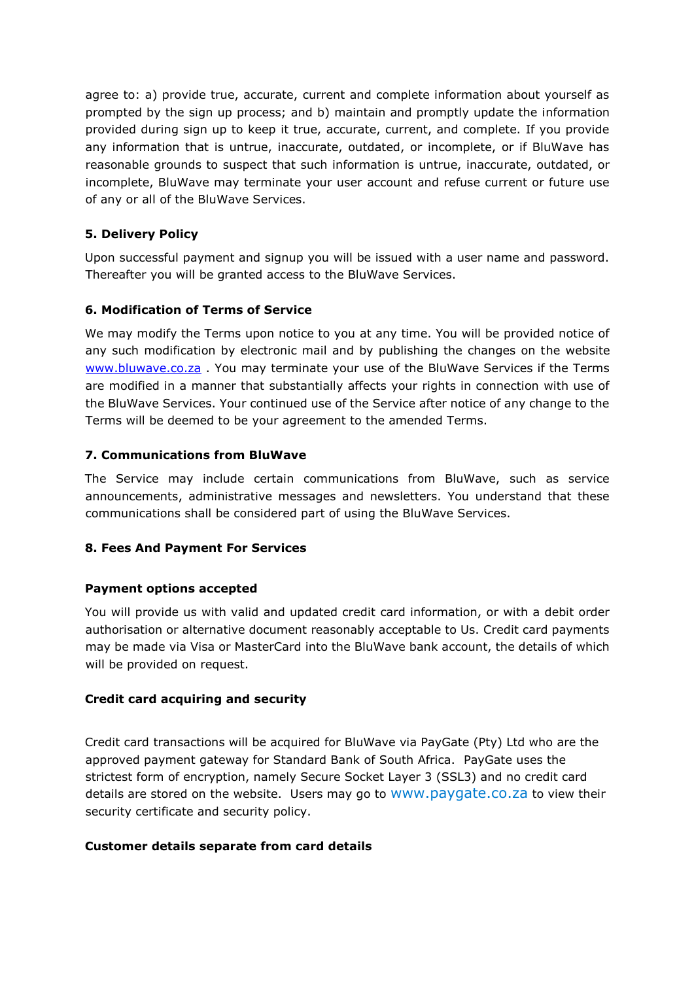agree to: a) provide true, accurate, current and complete information about yourself as prompted by the sign up process; and b) maintain and promptly update the information provided during sign up to keep it true, accurate, current, and complete. If you provide any information that is untrue, inaccurate, outdated, or incomplete, or if BluWave has reasonable grounds to suspect that such information is untrue, inaccurate, outdated, or incomplete, BluWave may terminate your user account and refuse current or future use of any or all of the BluWave Services.

# **5. Delivery Policy**

Upon successful payment and signup you will be issued with a user name and password. Thereafter you will be granted access to the BluWave Services.

# **6. Modification of Terms of Service**

We may modify the Terms upon notice to you at any time. You will be provided notice of any such modification by electronic mail and by publishing the changes on the website [www.bluwave.co.za](https://www.bluwave.co.za/default) . You may terminate your use of the BluWave Services if the Terms are modified in a manner that substantially affects your rights in connection with use of the BluWave Services. Your continued use of the Service after notice of any change to the Terms will be deemed to be your agreement to the amended Terms.

# **7. Communications from BluWave**

The Service may include certain communications from BluWave, such as service announcements, administrative messages and newsletters. You understand that these communications shall be considered part of using the BluWave Services.

# **8. Fees And Payment For Services**

#### **Payment options accepted**

You will provide us with valid and updated credit card information, or with a debit order authorisation or alternative document reasonably acceptable to Us. Credit card payments may be made via Visa or MasterCard into the BluWave bank account, the details of which will be provided on request.

# **Credit card acquiring and security**

Credit card transactions will be acquired for BluWave via PayGate (Pty) Ltd who are the approved payment gateway for Standard Bank of South Africa. PayGate uses the strictest form of encryption, namely Secure Socket Layer 3 (SSL3) and no credit card details are stored on the website. Users may go t[o](http://www.paygate.co.za/) [www.paygate.co.za](http://www.paygate.co.za/) to view their security certificate and security policy.

#### **Customer details separate from card details**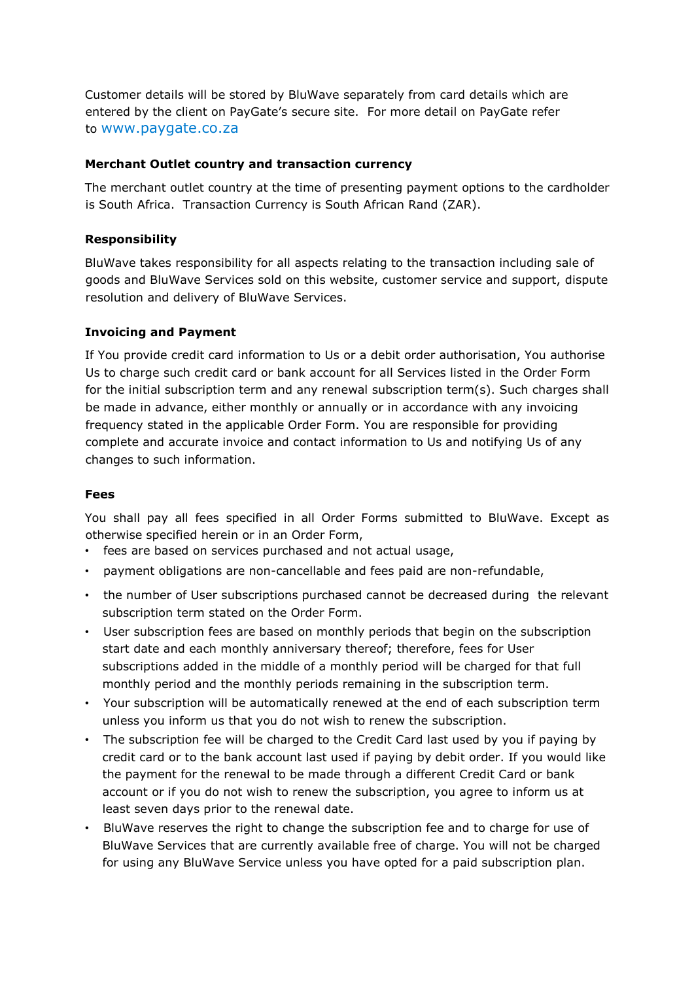Customer details will be stored by BluWave separately from card details which are entered by the client on PayGate's secure site. For more detail on PayGate refer to [www.paygate.co.za](http://www.paygate.co.za/)

#### **Merchant Outlet country and transaction currency**

The merchant outlet country at the time of presenting payment options to the cardholder is South Africa. Transaction Currency is South African Rand (ZAR).

# **Responsibility**

BluWave takes responsibility for all aspects relating to the transaction including sale of goods and BluWave Services sold on this website, customer service and support, dispute resolution and delivery of BluWave Services.

## **Invoicing and Payment**

If You provide credit card information to Us or a debit order authorisation, You authorise Us to charge such credit card or bank account for all Services listed in the Order Form for the initial subscription term and any renewal subscription term(s). Such charges shall be made in advance, either monthly or annually or in accordance with any invoicing frequency stated in the applicable Order Form. You are responsible for providing complete and accurate invoice and contact information to Us and notifying Us of any changes to such information.

## **Fees**

You shall pay all fees specified in all Order Forms submitted to BluWave. Except as otherwise specified herein or in an Order Form,

- fees are based on services purchased and not actual usage,
- payment obligations are non-cancellable and fees paid are non-refundable,
- the number of User subscriptions purchased cannot be decreased during the relevant subscription term stated on the Order Form.
- User subscription fees are based on monthly periods that begin on the subscription start date and each monthly anniversary thereof; therefore, fees for User subscriptions added in the middle of a monthly period will be charged for that full monthly period and the monthly periods remaining in the subscription term.
- Your subscription will be automatically renewed at the end of each subscription term unless you inform us that you do not wish to renew the subscription.
- The subscription fee will be charged to the Credit Card last used by you if paying by credit card or to the bank account last used if paying by debit order. If you would like the payment for the renewal to be made through a different Credit Card or bank account or if you do not wish to renew the subscription, you agree to inform us at least seven days prior to the renewal date.
- BluWave reserves the right to change the subscription fee and to charge for use of BluWave Services that are currently available free of charge. You will not be charged for using any BluWave Service unless you have opted for a paid subscription plan.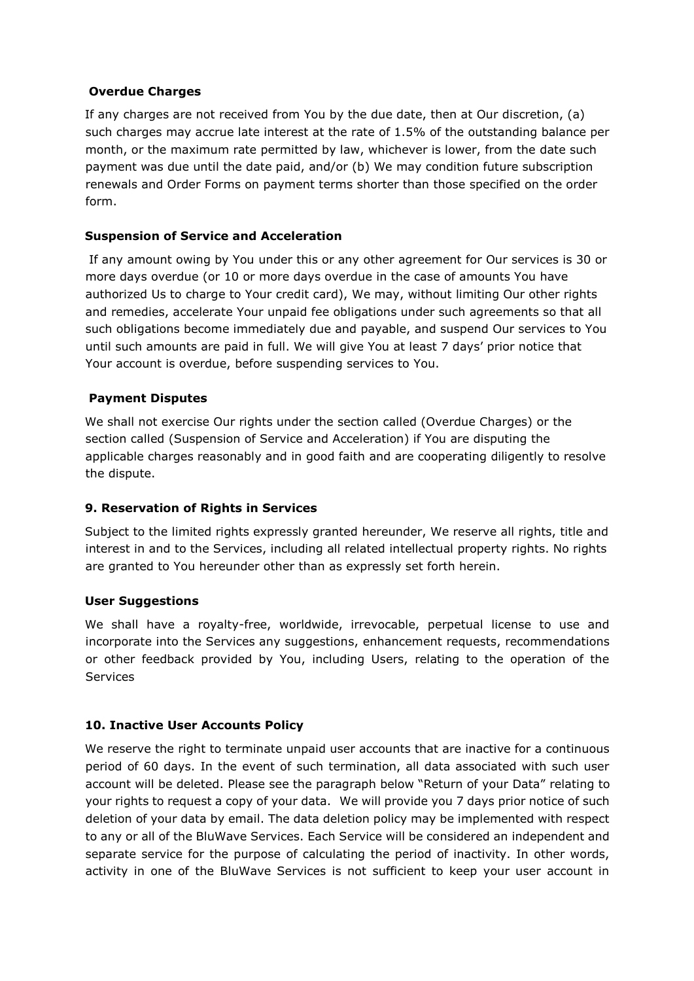#### **Overdue Charges**

If any charges are not received from You by the due date, then at Our discretion, (a) such charges may accrue late interest at the rate of 1.5% of the outstanding balance per month, or the maximum rate permitted by law, whichever is lower, from the date such payment was due until the date paid, and/or (b) We may condition future subscription renewals and Order Forms on payment terms shorter than those specified on the order form.

## **Suspension of Service and Acceleration**

If any amount owing by You under this or any other agreement for Our services is 30 or more days overdue (or 10 or more days overdue in the case of amounts You have authorized Us to charge to Your credit card), We may, without limiting Our other rights and remedies, accelerate Your unpaid fee obligations under such agreements so that all such obligations become immediately due and payable, and suspend Our services to You until such amounts are paid in full. We will give You at least 7 days' prior notice that Your account is overdue, before suspending services to You.

## **Payment Disputes**

We shall not exercise Our rights under the section called (Overdue Charges) or the section called (Suspension of Service and Acceleration) if You are disputing the applicable charges reasonably and in good faith and are cooperating diligently to resolve the dispute.

#### **9. Reservation of Rights in Services**

Subject to the limited rights expressly granted hereunder, We reserve all rights, title and interest in and to the Services, including all related intellectual property rights. No rights are granted to You hereunder other than as expressly set forth herein.

#### **User Suggestions**

We shall have a royalty-free, worldwide, irrevocable, perpetual license to use and incorporate into the Services any suggestions, enhancement requests, recommendations or other feedback provided by You, including Users, relating to the operation of the **Services** 

#### **10. Inactive User Accounts Policy**

We reserve the right to terminate unpaid user accounts that are inactive for a continuous period of 60 days. In the event of such termination, all data associated with such user account will be deleted. Please see the paragraph below "Return of your Data" relating to your rights to request a copy of your data. We will provide you 7 days prior notice of such deletion of your data by email. The data deletion policy may be implemented with respect to any or all of the BluWave Services. Each Service will be considered an independent and separate service for the purpose of calculating the period of inactivity. In other words, activity in one of the BluWave Services is not sufficient to keep your user account in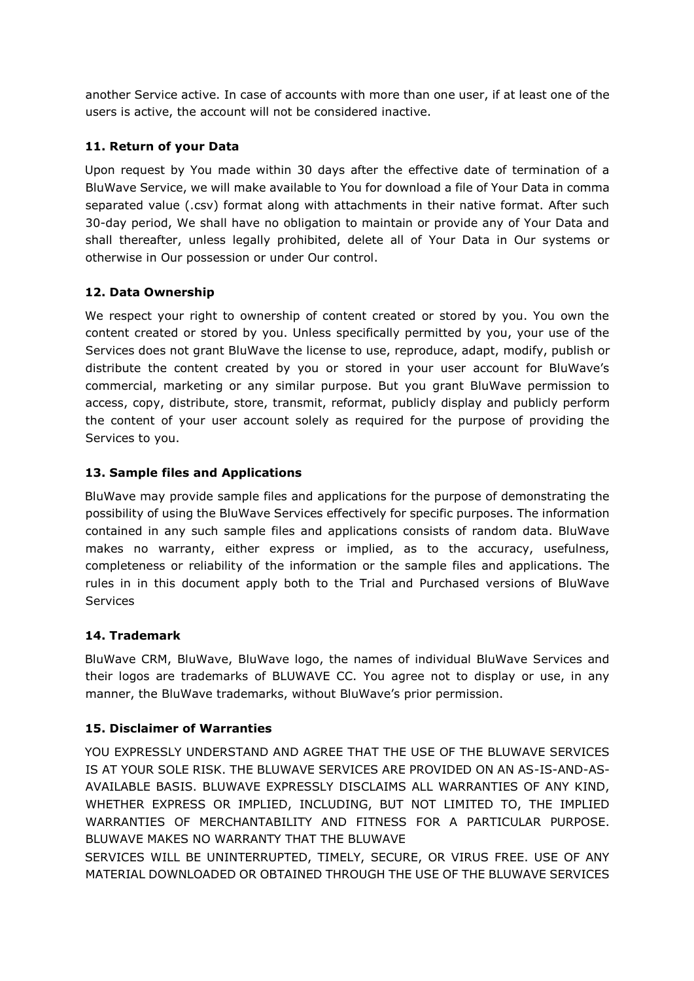another Service active. In case of accounts with more than one user, if at least one of the users is active, the account will not be considered inactive.

## **11. Return of your Data**

Upon request by You made within 30 days after the effective date of termination of a BluWave Service, we will make available to You for download a file of Your Data in comma separated value (.csv) format along with attachments in their native format. After such 30-day period, We shall have no obligation to maintain or provide any of Your Data and shall thereafter, unless legally prohibited, delete all of Your Data in Our systems or otherwise in Our possession or under Our control.

## **12. Data Ownership**

We respect your right to ownership of content created or stored by you. You own the content created or stored by you. Unless specifically permitted by you, your use of the Services does not grant BluWave the license to use, reproduce, adapt, modify, publish or distribute the content created by you or stored in your user account for BluWave's commercial, marketing or any similar purpose. But you grant BluWave permission to access, copy, distribute, store, transmit, reformat, publicly display and publicly perform the content of your user account solely as required for the purpose of providing the Services to you.

## **13. Sample files and Applications**

BluWave may provide sample files and applications for the purpose of demonstrating the possibility of using the BluWave Services effectively for specific purposes. The information contained in any such sample files and applications consists of random data. BluWave makes no warranty, either express or implied, as to the accuracy, usefulness, completeness or reliability of the information or the sample files and applications. The rules in in this document apply both to the Trial and Purchased versions of BluWave **Services** 

# **14. Trademark**

BluWave CRM, BluWave, BluWave logo, the names of individual BluWave Services and their logos are trademarks of BLUWAVE CC. You agree not to display or use, in any manner, the BluWave trademarks, without BluWave's prior permission.

# **15. Disclaimer of Warranties**

YOU EXPRESSLY UNDERSTAND AND AGREE THAT THE USE OF THE BLUWAVE SERVICES IS AT YOUR SOLE RISK. THE BLUWAVE SERVICES ARE PROVIDED ON AN AS-IS-AND-AS-AVAILABLE BASIS. BLUWAVE EXPRESSLY DISCLAIMS ALL WARRANTIES OF ANY KIND, WHETHER EXPRESS OR IMPLIED, INCLUDING, BUT NOT LIMITED TO, THE IMPLIED WARRANTIES OF MERCHANTABILITY AND FITNESS FOR A PARTICULAR PURPOSE. BLUWAVE MAKES NO WARRANTY THAT THE BLUWAVE

SERVICES WILL BE UNINTERRUPTED, TIMELY, SECURE, OR VIRUS FREE. USE OF ANY MATERIAL DOWNLOADED OR OBTAINED THROUGH THE USE OF THE BLUWAVE SERVICES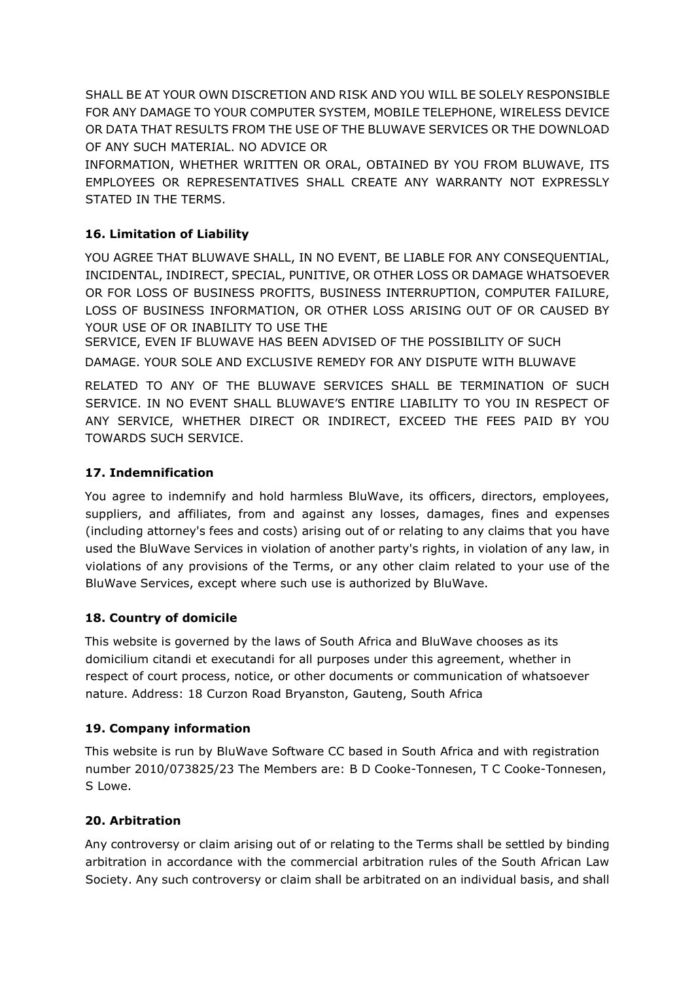SHALL BE AT YOUR OWN DISCRETION AND RISK AND YOU WILL BE SOLELY RESPONSIBLE FOR ANY DAMAGE TO YOUR COMPUTER SYSTEM, MOBILE TELEPHONE, WIRELESS DEVICE OR DATA THAT RESULTS FROM THE USE OF THE BLUWAVE SERVICES OR THE DOWNLOAD OF ANY SUCH MATERIAL. NO ADVICE OR

INFORMATION, WHETHER WRITTEN OR ORAL, OBTAINED BY YOU FROM BLUWAVE, ITS EMPLOYEES OR REPRESENTATIVES SHALL CREATE ANY WARRANTY NOT EXPRESSLY STATED IN THE TERMS.

# **16. Limitation of Liability**

YOU AGREE THAT BLUWAVE SHALL, IN NO EVENT, BE LIABLE FOR ANY CONSEQUENTIAL, INCIDENTAL, INDIRECT, SPECIAL, PUNITIVE, OR OTHER LOSS OR DAMAGE WHATSOEVER OR FOR LOSS OF BUSINESS PROFITS, BUSINESS INTERRUPTION, COMPUTER FAILURE, LOSS OF BUSINESS INFORMATION, OR OTHER LOSS ARISING OUT OF OR CAUSED BY YOUR USE OF OR INABILITY TO USE THE

SERVICE, EVEN IF BLUWAVE HAS BEEN ADVISED OF THE POSSIBILITY OF SUCH DAMAGE. YOUR SOLE AND EXCLUSIVE REMEDY FOR ANY DISPUTE WITH BLUWAVE

RELATED TO ANY OF THE BLUWAVE SERVICES SHALL BE TERMINATION OF SUCH SERVICE. IN NO EVENT SHALL BLUWAVE'S ENTIRE LIABILITY TO YOU IN RESPECT OF ANY SERVICE, WHETHER DIRECT OR INDIRECT, EXCEED THE FEES PAID BY YOU TOWARDS SUCH SERVICE.

# **17. Indemnification**

You agree to indemnify and hold harmless BluWave, its officers, directors, employees, suppliers, and affiliates, from and against any losses, damages, fines and expenses (including attorney's fees and costs) arising out of or relating to any claims that you have used the BluWave Services in violation of another party's rights, in violation of any law, in violations of any provisions of the Terms, or any other claim related to your use of the BluWave Services, except where such use is authorized by BluWave.

# **18. Country of domicile**

This website is governed by the laws of South Africa and BluWave chooses as its domicilium citandi et executandi for all purposes under this agreement, whether in respect of court process, notice, or other documents or communication of whatsoever nature. Address: 18 Curzon Road Bryanston, Gauteng, South Africa

# **19. Company information**

This website is run by BluWave Software CC based in South Africa and with registration number 2010/073825/23 The Members are: B D Cooke-Tonnesen, T C Cooke-Tonnesen, S Lowe.

# **20. Arbitration**

Any controversy or claim arising out of or relating to the Terms shall be settled by binding arbitration in accordance with the commercial arbitration rules of the South African Law Society. Any such controversy or claim shall be arbitrated on an individual basis, and shall